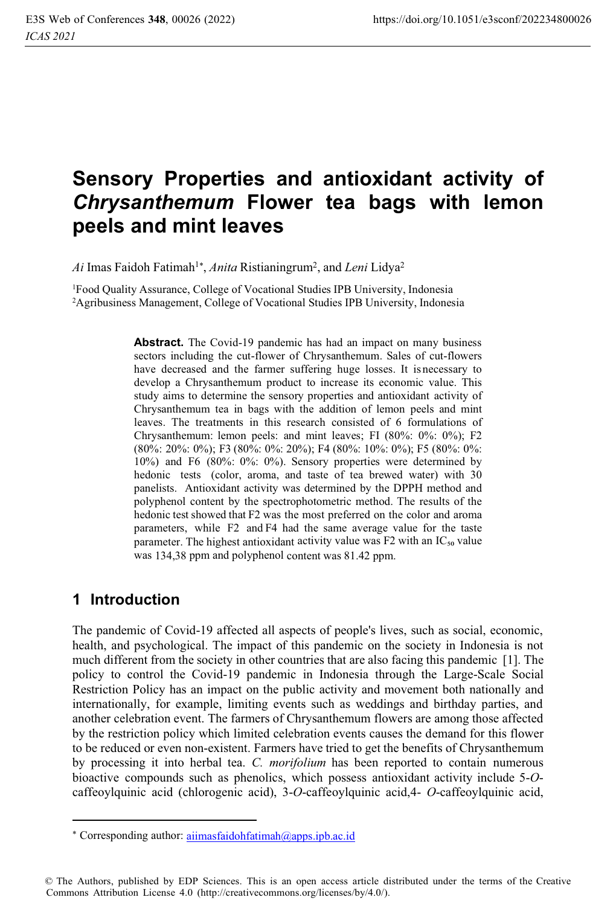# **Sensory Properties and antioxidant activity of**  *Chrysanthemum* **Flower tea bags with lemon peels and mint leaves**

Ai Imas Faidoh Fatimah<sup>1\*</sup>, Anita Ristianingrum<sup>2</sup>, and Leni Lidya<sup>2</sup>

1 Food Quality Assurance, College of Vocational Studies IPB University, Indonesia 2 Agribusiness Management, College of Vocational Studies IPB University, Indonesia

> **Abstract.** The Covid-19 pandemic has had an impact on many business sectors including the cut-flower of Chrysanthemum. Sales of cut-flowers have decreased and the farmer suffering huge losses. It is necessary to develop a Chrysanthemum product to increase its economic value. This study aims to determine the sensory properties and antioxidant activity of Chrysanthemum tea in bags with the addition of lemon peels and mint leaves. The treatments in this research consisted of 6 formulations of Chrysanthemum: lemon peels: and mint leaves; FI (80%: 0%: 0%); F2 (80%: 20%: 0%); F3 (80%: 0%: 20%); F4 (80%: 10%: 0%); F5 (80%: 0%: 10%) and F6 (80%: 0%: 0%). Sensory properties were determined by hedonic tests (color, aroma, and taste of tea brewed water) with 30 panelists. Antioxidant activity was determined by the DPPH method and polyphenol content by the spectrophotometric method. The results of the hedonic test showed that F2 was the most preferred on the color and aroma parameters, while F2 and F4 had the same average value for the taste parameter. The highest antioxidant activity value was  $F2$  with an  $IC_{50}$  value was 134,38 ppm and polyphenol content was 81.42 ppm.

# **1 Introduction**

The pandemic of Covid-19 affected all aspects of people's lives, such as social, economic, health, and psychological. The impact of this pandemic on the society in Indonesia is not much different from the society in other countries that are also facing this pandemic [1]. The policy to control the Covid-19 pandemic in Indonesia through the Large-Scale Social Restriction Policy has an impact on the public activity and movement both nationally and internationally, for example, limiting events such as weddings and birthday parties, and another celebration event. The farmers of Chrysanthemum flowers are among those affected by the restriction policy which limited celebration events causes the demand for this flower to be reduced or even non-existent. Farmers have tried to get the benefits of Chrysanthemum by processing it into herbal tea. *C. morifolium* has been reported to contain numerous bioactive compounds such as phenolics, which possess antioxidant activity include 5-*O*caffeoylquinic acid (chlorogenic acid), 3-*O*-caffeoylquinic acid,4- *O*-caffeoylquinic acid,

<sup>\*</sup> Corresponding author: aiimasfaidohfatimah@apps.ipb.ac.id

<sup>©</sup> The Authors, published by EDP Sciences. This is an open access article distributed under the terms of the Creative Commons Attribution License 4.0 (http://creativecommons.org/licenses/by/4.0/).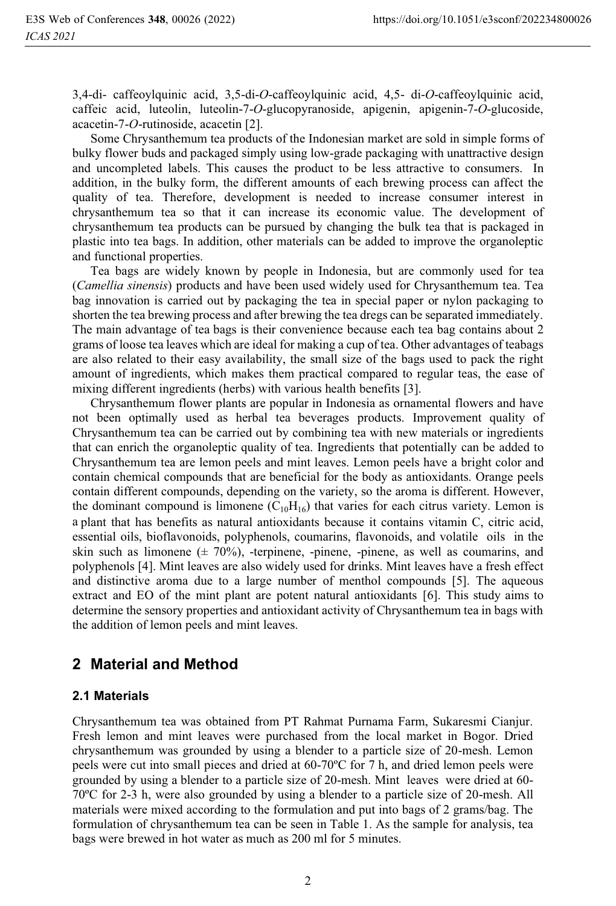3,4-di- caffeoylquinic acid, 3,5-di-*O*-caffeoylquinic acid, 4,5- di-*O*-caffeoylquinic acid, caffeic acid, luteolin, luteolin-7-*O*-glucopyranoside, apigenin, apigenin-7-*O*-glucoside, acacetin-7-*O*-rutinoside, acacetin [2].

Some Chrysanthemum tea products of the Indonesian market are sold in simple forms of bulky flower buds and packaged simply using low-grade packaging with unattractive design and uncompleted labels. This causes the product to be less attractive to consumers. In addition, in the bulky form, the different amounts of each brewing process can affect the quality of tea. Therefore, development is needed to increase consumer interest in chrysanthemum tea so that it can increase its economic value. The development of chrysanthemum tea products can be pursued by changing the bulk tea that is packaged in plastic into tea bags. In addition, other materials can be added to improve the organoleptic and functional properties.

Tea bags are widely known by people in Indonesia, but are commonly used for tea (*Camellia sinensis*) products and have been used widely used for Chrysanthemum tea. Tea bag innovation is carried out by packaging the tea in special paper or nylon packaging to shorten the tea brewing process and after brewing the tea dregs can be separated immediately. The main advantage of tea bags is their convenience because each tea bag contains about 2 grams of loose tea leaves which are ideal for making a cup of tea. Other advantages of teabags are also related to their easy availability, the small size of the bags used to pack the right amount of ingredients, which makes them practical compared to regular teas, the ease of mixing different ingredients (herbs) with various health benefits [3].

Chrysanthemum flower plants are popular in Indonesia as ornamental flowers and have not been optimally used as herbal tea beverages products. Improvement quality of Chrysanthemum tea can be carried out by combining tea with new materials or ingredients that can enrich the organoleptic quality of tea. Ingredients that potentially can be added to Chrysanthemum tea are lemon peels and mint leaves. Lemon peels have a bright color and contain chemical compounds that are beneficial for the body as antioxidants. Orange peels contain different compounds, depending on the variety, so the aroma is different. However, the dominant compound is limonene  $(C_{10}H_{16})$  that varies for each citrus variety. Lemon is a plant that has benefits as natural antioxidants because it contains vitamin C, citric acid, essential oils, bioflavonoids, polyphenols, coumarins, flavonoids, and volatile oils in the skin such as limonene  $(\pm 70\%)$ , -terpinene, -pinene, -pinene, as well as coumarins, and polyphenols [4]. Mint leaves are also widely used for drinks. Mint leaves have a fresh effect and distinctive aroma due to a large number of menthol compounds [5]. The aqueous extract and EO of the mint plant are potent natural antioxidants [6]. This study aims to determine the sensory properties and antioxidant activity of Chrysanthemum tea in bags with the addition of lemon peels and mint leaves.

# **2 Material and Method**

### **2.1 Materials**

Chrysanthemum tea was obtained from PT Rahmat Purnama Farm, Sukaresmi Cianjur. Fresh lemon and mint leaves were purchased from the local market in Bogor. Dried chrysanthemum was grounded by using a blender to a particle size of 20-mesh. Lemon peels were cut into small pieces and dried at 60-70ºC for 7 h, and dried lemon peels were grounded by using a blender to a particle size of 20-mesh. Mint leaves were dried at 60- 70ºC for 2-3 h, were also grounded by using a blender to a particle size of 20-mesh. All materials were mixed according to the formulation and put into bags of 2 grams/bag. The formulation of chrysanthemum tea can be seen in Table 1. As the sample for analysis, tea bags were brewed in hot water as much as 200 ml for 5 minutes.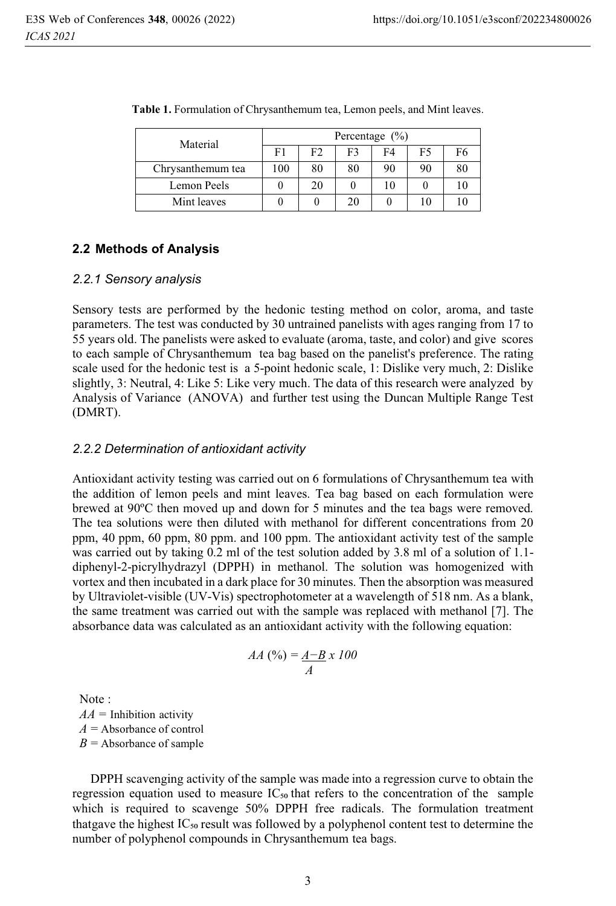| Material          | Percentage $(\% )$ |    |    |    |    |    |
|-------------------|--------------------|----|----|----|----|----|
|                   | F1                 | F2 | F3 | F4 | F5 | F6 |
| Chrysanthemum tea | 100                | 80 | 80 | 90 | 90 | 80 |
| Lemon Peels       |                    | 20 |    | 10 |    | 10 |
| Mint leaves       |                    |    | 20 |    |    |    |

Table 1. Formulation of Chrysanthemum tea, Lemon peels, and Mint leaves.

### **2.2 Methods of Analysis**

#### *2.2.1 Sensory analysis*

Sensory tests are performed by the hedonic testing method on color, aroma, and taste parameters. The test was conducted by 30 untrained panelists with ages ranging from 17 to 55 years old. The panelists were asked to evaluate (aroma, taste, and color) and give scores to each sample of Chrysanthemum tea bag based on the panelist's preference. The rating scale used for the hedonic test is a 5-point hedonic scale, 1: Dislike very much, 2: Dislike slightly, 3: Neutral, 4: Like 5: Like very much. The data of this research were analyzed by Analysis of Variance (ANOVA) and further test using the Duncan Multiple Range Test (DMRT).

#### *2.2.2 Determination of antioxidant activity*

Antioxidant activity testing was carried out on 6 formulations of Chrysanthemum tea with the addition of lemon peels and mint leaves. Tea bag based on each formulation were brewed at 90ºC then moved up and down for 5 minutes and the tea bags were removed. The tea solutions were then diluted with methanol for different concentrations from 20 ppm, 40 ppm, 60 ppm, 80 ppm. and 100 ppm. The antioxidant activity test of the sample was carried out by taking 0.2 ml of the test solution added by 3.8 ml of a solution of 1.1diphenyl-2-picrylhydrazyl (DPPH) in methanol. The solution was homogenized with vortex and then incubated in a dark place for 30 minutes. Then the absorption was measured by Ultraviolet-visible (UV-Vis) spectrophotometer at a wavelength of 518 nm. As a blank, the same treatment was carried out with the sample was replaced with methanol [7]. The absorbance data was calculated as an antioxidant activity with the following equation:

$$
AA\left(\frac{\%}{\text{}}\right) = \frac{A - B}{A} \times 100
$$

Note :  $AA =$  Inhibition activity  $A =$ Absorbance of control  $B =$  Absorbance of sample

DPPH scavenging activity of the sample was made into a regression curve to obtain the regression equation used to measure  $IC_{50}$  that refers to the concentration of the sample which is required to scavenge 50% DPPH free radicals. The formulation treatment that gave the highest  $IC_{50}$  result was followed by a polyphenol content test to determine the number of polyphenol compounds in Chrysanthemum tea bags.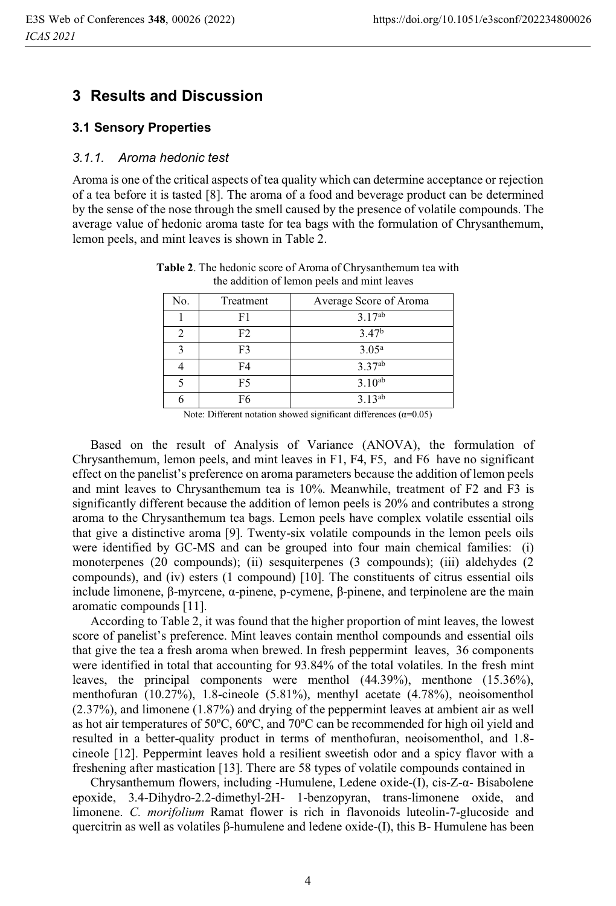### **3 Results and Discussion**

#### **3.1 Sensory Properties**

#### *3.1.1. Aroma hedonic test*

Aroma is one of the critical aspects of tea quality which can determine acceptance or rejection of a tea before it is tasted [8]. The aroma of a food and beverage product can be determined by the sense of the nose through the smell caused by the presence of volatile compounds. The average value of hedonic aroma taste for tea bags with the formulation of Chrysanthemum, lemon peels, and mint leaves is shown in Table 2.

| No.                     | Treatment | Average Score of Aroma |
|-------------------------|-----------|------------------------|
|                         | F1        | $3.17^{ab}$            |
|                         | F2        | 3.47 <sup>b</sup>      |
| $\overline{\mathbf{c}}$ | F3        | 3.05 <sup>a</sup>      |
|                         | F4        | $3.37^{ab}$            |
|                         | F5        | $3.10^{ab}$            |
|                         | F6        | $3.13^{ab}$            |

**Table 2**. The hedonic score of Aroma of Chrysanthemum tea with the addition of lemon peels and mint leaves

Note: Different notation showed significant differences  $(\alpha=0.05)$ 

Based on the result of Analysis of Variance (ANOVA), the formulation of Chrysanthemum, lemon peels, and mint leaves in F1, F4, F5, and F6 have no significant effect on the panelist's preference on aroma parameters because the addition of lemon peels and mint leaves to Chrysanthemum tea is 10%. Meanwhile, treatment of F2 and F3 is significantly different because the addition of lemon peels is 20% and contributes a strong aroma to the Chrysanthemum tea bags. Lemon peels have complex volatile essential oils that give a distinctive aroma [9]. Twenty-six volatile compounds in the lemon peels oils were identified by GC-MS and can be grouped into four main chemical families: (i) monoterpenes (20 compounds); (ii) sesquiterpenes (3 compounds); (iii) aldehydes (2 compounds), and (iv) esters (1 compound) [10]. The constituents of citrus essential oils include limonene, β-myrcene, α-pinene, p-cymene, β-pinene, and terpinolene are the main aromatic compounds [11].

According to Table 2, it was found that the higher proportion of mint leaves, the lowest score of panelist's preference. Mint leaves contain menthol compounds and essential oils that give the tea a fresh aroma when brewed. In fresh peppermint leaves, 36 components were identified in total that accounting for 93.84% of the total volatiles. In the fresh mint leaves, the principal components were menthol (44.39%), menthone (15.36%), menthofuran (10.27%), 1.8-cineole (5.81%), menthyl acetate (4.78%), neoisomenthol (2.37%), and limonene (1.87%) and drying of the peppermint leaves at ambient air as well as hot air temperatures of 50ºC, 60ºC, and 70ºC can be recommended for high oil yield and resulted in a better-quality product in terms of menthofuran, neoisomenthol, and 1.8 cineole [12]. Peppermint leaves hold a resilient sweetish odor and a spicy flavor with a freshening after mastication [13]. There are 58 types of volatile compounds contained in

Chrysanthemum flowers, including -Humulene, Ledene oxide-(I), cis-Z-α- Bisabolene epoxide, 3.4-Dihydro-2.2-dimethyl-2H- 1-benzopyran, trans-limonene oxide, and limonene. *C. morifolium* Ramat flower is rich in flavonoids luteolin-7-glucoside and quercitrin as well as volatiles β-humulene and ledene oxide-(I), this Β- Humulene has been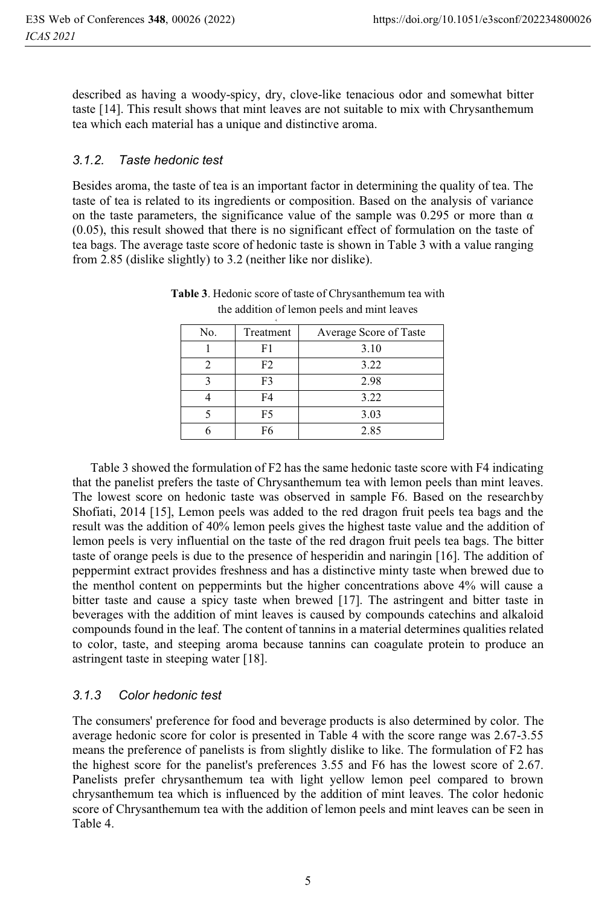described as having a woody-spicy, dry, clove-like tenacious odor and somewhat bitter taste [14]. This result shows that mint leaves are not suitable to mix with Chrysanthemum tea which each material has a unique and distinctive aroma.

#### *3.1.2. Taste hedonic test*

Besides aroma, the taste of tea is an important factor in determining the quality of tea. The taste of tea is related to its ingredients or composition. Based on the analysis of variance on the taste parameters, the significance value of the sample was 0.295 or more than  $\alpha$ (0.05), this result showed that there is no significant effect of formulation on the taste of tea bags. The average taste score of hedonic taste is shown in Table 3 with a value ranging from 2.85 (dislike slightly) to 3.2 (neither like nor dislike).

| No. | Treatment      | Average Score of Taste |
|-----|----------------|------------------------|
|     | F1             | 3.10                   |
|     | F <sub>2</sub> | 3.22                   |
|     | F <sub>3</sub> | 2.98                   |
|     | F <sub>4</sub> | 3.22                   |
|     | F5             | 3.03                   |
|     | F6             | 2.85                   |
|     |                |                        |

**Table 3**. Hedonic score of taste of Chrysanthemum tea with the addition of lemon peels and mint leaves

Table 3 showed the formulation of F2 has the same hedonic taste score with F4 indicating that the panelist prefers the taste of Chrysanthemum tea with lemon peels than mint leaves. The lowest score on hedonic taste was observed in sample F6. Based on the research by Shofiati, 2014 [15], Lemon peels was added to the red dragon fruit peels tea bags and the result was the addition of 40% lemon peels gives the highest taste value and the addition of lemon peels is very influential on the taste of the red dragon fruit peels tea bags. The bitter taste of orange peels is due to the presence of hesperidin and naringin [16]. The addition of peppermint extract provides freshness and has a distinctive minty taste when brewed due to the menthol content on peppermints but the higher concentrations above 4% will cause a bitter taste and cause a spicy taste when brewed [17]. The astringent and bitter taste in beverages with the addition of mint leaves is caused by compounds catechins and alkaloid compounds found in the leaf. The content of tannins in a material determines qualities related to color, taste, and steeping aroma because tannins can coagulate protein to produce an astringent taste in steeping water [18].

#### *3.1.3 Color hedonic test*

The consumers' preference for food and beverage products is also determined by color. The average hedonic score for color is presented in Table 4 with the score range was 2.67-3.55 means the preference of panelists is from slightly dislike to like. The formulation of F2 has the highest score for the panelist's preferences 3.55 and F6 has the lowest score of 2.67. Panelists prefer chrysanthemum tea with light yellow lemon peel compared to brown chrysanthemum tea which is influenced by the addition of mint leaves. The color hedonic score of Chrysanthemum tea with the addition of lemon peels and mint leaves can be seen in Table 4.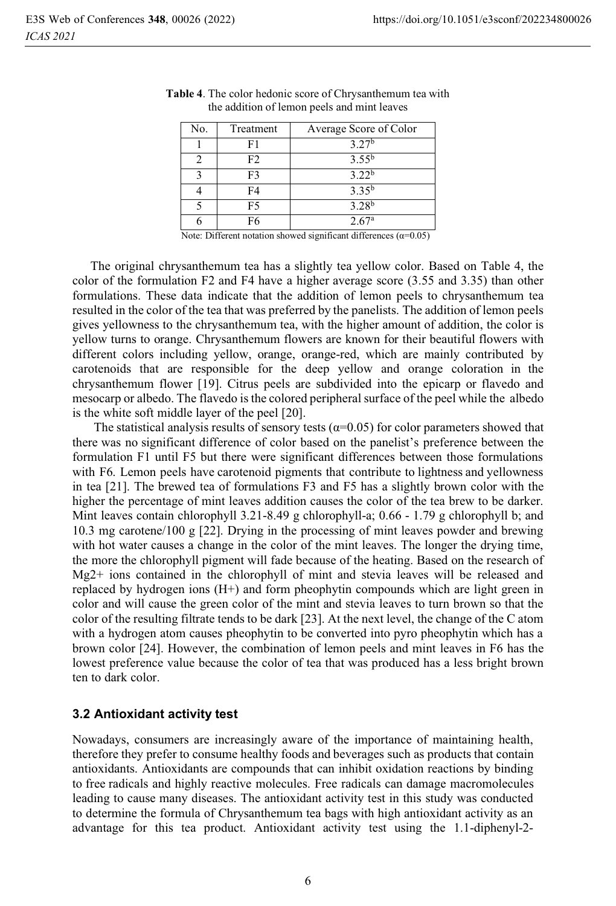| No. | Treatment | Average Score of Color |
|-----|-----------|------------------------|
|     | F1        | 3.27 <sup>b</sup>      |
|     | F2        | $3.55^{b}$             |
|     | F3        | 3.22 <sup>b</sup>      |
|     | F4        | $3.35^{b}$             |
|     | F5        | $3.28^{b}$             |
|     | F6        | 2.67a                  |

**Table 4**. The color hedonic score of Chrysanthemum tea with the addition of lemon peels and mint leaves

Note: Different notation showed significant differences ( $\alpha$ =0.05)

The original chrysanthemum tea has a slightly tea yellow color. Based on Table 4, the color of the formulation F2 and F4 have a higher average score (3.55 and 3.35) than other formulations. These data indicate that the addition of lemon peels to chrysanthemum tea resulted in the color of the tea that was preferred by the panelists. The addition of lemon peels gives yellowness to the chrysanthemum tea, with the higher amount of addition, the color is yellow turns to orange. Chrysanthemum flowers are known for their beautiful flowers with different colors including yellow, orange, orange-red, which are mainly contributed by carotenoids that are responsible for the deep yellow and orange coloration in the chrysanthemum flower [19]. Citrus peels are subdivided into the epicarp or flavedo and mesocarp or albedo. The flavedo is the colored peripheral surface of the peel while the albedo is the white soft middle layer of the peel [20].

The statistical analysis results of sensory tests ( $\alpha$ =0.05) for color parameters showed that there was no significant difference of color based on the panelist's preference between the formulation F1 until F5 but there were significant differences between those formulations with F6. Lemon peels have carotenoid pigments that contribute to lightness and yellowness in tea [21]. The brewed tea of formulations F3 and F5 has a slightly brown color with the higher the percentage of mint leaves addition causes the color of the tea brew to be darker. Mint leaves contain chlorophyll 3.21-8.49 g chlorophyll-a; 0.66 - 1.79 g chlorophyll b; and 10.3 mg carotene/100 g [22]. Drying in the processing of mint leaves powder and brewing with hot water causes a change in the color of the mint leaves. The longer the drying time, the more the chlorophyll pigment will fade because of the heating. Based on the research of Mg2+ ions contained in the chlorophyll of mint and stevia leaves will be released and replaced by hydrogen ions (H+) and form pheophytin compounds which are light green in color and will cause the green color of the mint and stevia leaves to turn brown so that the color of the resulting filtrate tends to be dark [23]. At the next level, the change of the C atom with a hydrogen atom causes pheophytin to be converted into pyro pheophytin which has a brown color [24]. However, the combination of lemon peels and mint leaves in F6 has the lowest preference value because the color of tea that was produced has a less bright brown ten to dark color.

#### **3.2Antioxidant activity test**

Nowadays, consumers are increasingly aware of the importance of maintaining health, therefore they prefer to consume healthy foods and beverages such as products that contain antioxidants. Antioxidants are compounds that can inhibit oxidation reactions by binding to free radicals and highly reactive molecules. Free radicals can damage macromolecules leading to cause many diseases. The antioxidant activity test in this study was conducted to determine the formula of Chrysanthemum tea bags with high antioxidant activity as an advantage for this tea product. Antioxidant activity test using the 1.1-diphenyl-2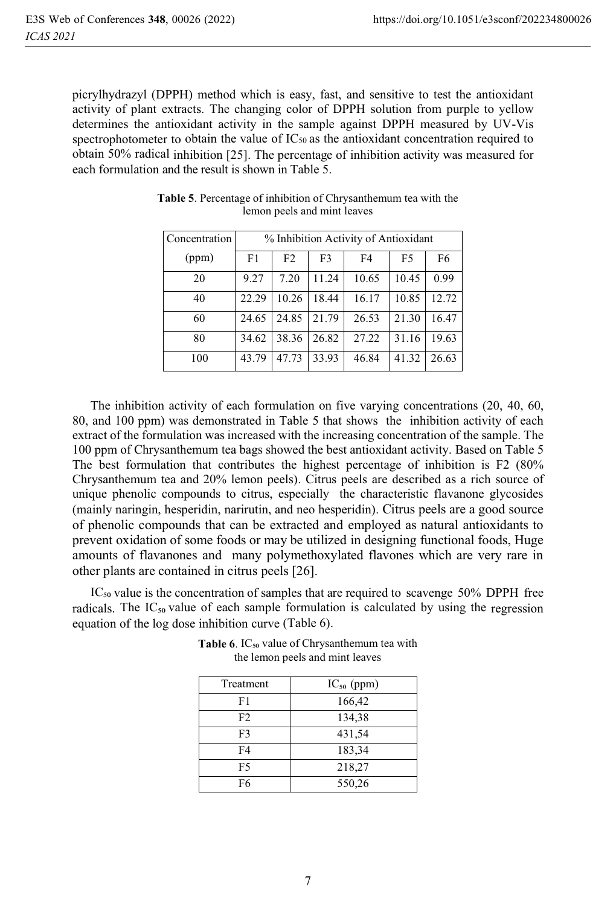picrylhydrazyl (DPPH) method which is easy, fast, and sensitive to test the antioxidant activity of plant extracts. The changing color of DPPH solution from purple to yellow determines the antioxidant activity in the sample against DPPH measured by UV-Vis spectrophotometer to obtain the value of  $IC_{50}$  as the antioxidant concentration required to obtain 50% radical inhibition [25]. The percentage of inhibition activity was measured for each formulation and the result is shown in Table 5.

| Concentration | % Inhibition Activity of Antioxidant |                |                |       |                |       |
|---------------|--------------------------------------|----------------|----------------|-------|----------------|-------|
| (ppm)         | F <sub>1</sub>                       | F <sub>2</sub> | F <sub>3</sub> | F4    | F <sub>5</sub> | F6    |
| 20            | 9.27                                 | 7.20           | 11.24          | 10.65 | 10.45          | 0.99  |
| 40            | 22.29                                | 10.26          | 18.44          | 16.17 | 10.85          | 12.72 |
| 60            | 24.65                                | 24.85          | 21.79          | 26.53 | 21.30          | 16.47 |
| 80            | 34.62                                | 38.36          | 26.82          | 27.22 | 31.16          | 19.63 |
| 100           | 43.79                                | 47.73          | 33.93          | 46.84 | 41.32          | 26.63 |

**Table 5**. Percentage of inhibition of Chrysanthemum tea with the lemon peels and mint leaves

The inhibition activity of each formulation on five varying concentrations (20, 40, 60, 80, and 100 ppm) was demonstrated in Table 5 that shows the inhibition activity of each extract of the formulation was increased with the increasing concentration of the sample. The 100 ppm of Chrysanthemum tea bags showed the best antioxidant activity. Based on Table 5 The best formulation that contributes the highest percentage of inhibition is F2 (80% Chrysanthemum tea and 20% lemon peels). Citrus peels are described as a rich source of unique phenolic compounds to citrus, especially the characteristic flavanone glycosides (mainly naringin, hesperidin, narirutin, and neo hesperidin). Citrus peels are a good source of phenolic compounds that can be extracted and employed as natural antioxidants to prevent oxidation of some foods or may be utilized in designing functional foods, Huge amounts of flavanones and many polymethoxylated flavones which are very rare in other plants are contained in citrus peels [26].

 $IC_{50}$  value is the concentration of samples that are required to scavenge 50% DPPH free radicals. The  $IC_{50}$  value of each sample formulation is calculated by using the regression equation of the log dose inhibition curve (Table 6).

| Treatment      | $IC_{50}$ (ppm) |
|----------------|-----------------|
| F1             | 166,42          |
| F <sub>2</sub> | 134,38          |
| F3             | 431,54          |
| F4             | 183,34          |
| F5             | 218,27          |
| F6             | 550,26          |

**Table 6**. IC<sub>50</sub> value of Chrysanthemum tea with the lemon peels and mint leaves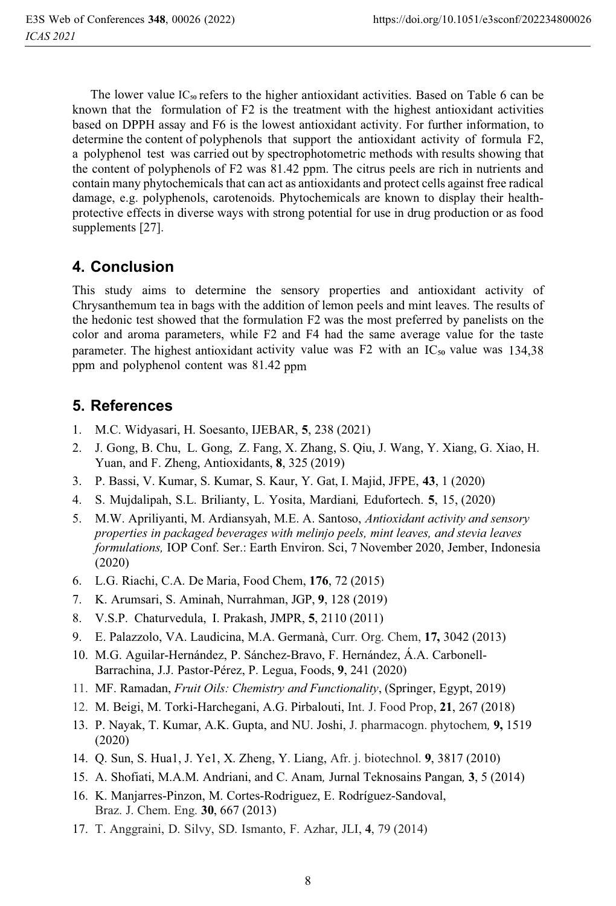The lower value  $IC_{50}$  refers to the higher antioxidant activities. Based on Table 6 can be known that the formulation of F2 is the treatment with the highest antioxidant activities based on DPPH assay and F6 is the lowest antioxidant activity. For further information, to determine the content of polyphenols that support the antioxidant activity of formula F2, a polyphenol test was carried out by spectrophotometric methods with results showing that the content of polyphenols of F2 was 81.42 ppm. The citrus peels are rich in nutrients and contain many phytochemicals that can act as antioxidants and protect cells against free radical damage, e.g. polyphenols, carotenoids. Phytochemicals are known to display their healthprotective effects in diverse ways with strong potential for use in drug production or as food supplements [27].

# **4. Conclusion**

This study aims to determine the sensory properties and antioxidant activity of Chrysanthemum tea in bags with the addition of lemon peels and mint leaves. The results of the hedonic test showed that the formulation F2 was the most preferred by panelists on the color and aroma parameters, while F2 and F4 had the same average value for the taste parameter. The highest antioxidant activity value was F2 with an  $IC_{50}$  value was 134,38 ppm and polyphenol content was 81.42 ppm

# **5. References**

- 1. M.C. Widyasari, H. Soesanto, IJEBAR, **5**, 238 (2021)
- 2. J. Gong, B. Chu, L. Gong, Z. Fang, X. Zhang, S. Qiu, J. Wang, Y. Xiang, G. Xiao, H. Yuan, and F. Zheng, Antioxidants, **8**, 325 (2019)
- 3. P. Bassi, V. Kumar, S. Kumar, S. Kaur, Y. Gat, I. Majid, JFPE, **43**, 1 (2020)
- 4. S. Mujdalipah, S.L. Brilianty, L. Yosita, Mardiani*,* Edufortech. **5**, 15, (2020)
- 5. M.W. Apriliyanti, M. Ardiansyah, M.E. A. Santoso, *Antioxidant activity and sensory properties in packaged beverages with melinjo peels, mint leaves, and stevia leaves formulations,* IOP Conf. Ser.: Earth Environ. Sci, 7 November 2020, Jember, Indonesia (2020)
- 6. L.G. Riachi, C.A. De Maria, Food Chem, **176**, 72 (2015)
- 7. K. Arumsari, S. Aminah, Nurrahman, JGP, **9**, 128 (2019)
- 8. V.S.P. Chaturvedula, I. Prakash, JMPR, **5**, 2110 (2011)
- 9. E. Palazzolo, VA. Laudicina, M.A. Germanà, Curr. Org. Chem, **17,** 3042 (2013)
- 10. M.G. Aguilar-Hernández, P. Sánchez-Bravo, F. Hernández, Á.A. Carbonell-Barrachina, J.J. Pastor-Pérez, P. Legua, Foods, **9**, 241 (2020)
- 11. MF. Ramadan, *Fruit Oils: Chemistry and Functionality*, (Springer, Egypt, 2019)
- 12. M. Beigi, M. Torki-Harchegani, A.G. Pirbalouti, Int. J. Food Prop, **21**, 267 (2018)
- 13. P. Nayak, T. Kumar, A.K. Gupta, and NU. Joshi, J. pharmacogn. phytochem*,* **9,** 1519 (2020)
- 14. Q. Sun, S. Hua1, J. Ye1, X. Zheng, Y. Liang, Afr. j. biotechnol. **9**, 3817 (2010)
- 15. A. Shofiati, M.A.M. Andriani, and C. Anam*,* Jurnal Teknosains Pangan*,* **3**, 5 (2014)
- 16. K. Manjarres-Pinzon, M. Cortes-Rodriguez, E. Rodríguez-Sandoval, Braz. J. Chem. Eng. **30**, 667 (2013)
- 17. T. Anggraini, D. Silvy, SD. Ismanto, F. Azhar, JLI, **4**, 79 (2014)